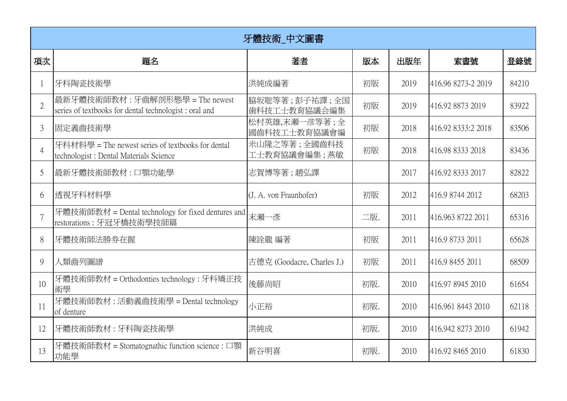| 牙體技術 中文圖書      |                                                                                              |                               |     |      |                    |       |  |  |  |  |
|----------------|----------------------------------------------------------------------------------------------|-------------------------------|-----|------|--------------------|-------|--|--|--|--|
| 項次             | 題名                                                                                           | 著者                            | 版本  | 出版年  | 索書號                | 登錄號   |  |  |  |  |
|                | 牙科陶瓷技術學                                                                                      | 洪純成編著                         | 初版  | 2019 | 416.96 8273-2 2019 | 84210 |  |  |  |  |
| $\overline{2}$ | 最新牙體技術師教材:牙齒解剖形態學 = The newest<br>series of textbooks for dental technologist : oral and     | 脇坂聡等著;彭子祐譯;全国<br>歯科技工士教育協議会編集 | 初版  | 2019 | 416.92 8873 2019   | 83922 |  |  |  |  |
| $\mathfrak{Z}$ | 固定義齒技術學                                                                                      | 松村英雄,末瀬一彦等著;全<br>國齒科技工士教育協議會編 | 初版  | 2018 | 416.92 8333:2 2018 | 83506 |  |  |  |  |
| $\overline{4}$ | 牙科材料學 = The newest series of textbooks for dental<br>technologist : Dental Materials Science | 米山隆之等著;全國齒科技<br>工士教育協議會編集;燕敏  | 初版  | 2018 | 416.98 8333 2018   | 83436 |  |  |  |  |
| 5              | 最新牙體技術師教材 : 口顎功能學                                                                            | 志賀博等著;趙弘譯                     |     | 2017 | 416.92 8333 2017   | 82822 |  |  |  |  |
| 6              | 透視牙科材料學                                                                                      | (J. A. von Fraunhofer)        | 初版  | 2012 | 416.9 8744 2012    | 68203 |  |  |  |  |
|                | 牙體技術師教材 = Dental technology for fixed dentures and<br>restorations: 牙冠牙橋技術學技師篇               | 末瀨一彥                          | 二版. | 2011 | 416.963 8722 2011  | 65316 |  |  |  |  |
| 8              | 牙體技術師法勝券在握                                                                                   | 陳詮龍 編著                        | 初版  | 2011 | 416.9 8733 2011    | 65628 |  |  |  |  |
| 9              | 人類齒列圖譜                                                                                       | 古德克 (Goodacre, Charles J.)    | 初版  | 2011 | 416.9 8455 2011    | 68509 |  |  |  |  |
| 10             | 牙體技術師教材 = Orthodonties technology : 牙科矯正技<br>術學                                              | 後藤尚昭                          | 初版. | 2010 | 416.97 8945 2010   | 61654 |  |  |  |  |
| 11             | 牙體技術師教材: 活動義齒技術學 = Dental technology<br>of denture                                           | 小正裕                           | 初版. | 2010 | 416.961 8443 2010  | 62118 |  |  |  |  |
| 12             | 牙體技術師教材:牙科陶瓷技術學                                                                              | 洪純成                           | 初版. | 2010 | 416.942 8273 2010  | 61942 |  |  |  |  |
| 13             | 牙體技術師教材 = Stomatognathic function science : 口顎<br>功能學                                        | 新谷明喜                          | 初版. | 2010 | 416.92 8465 2010   | 61830 |  |  |  |  |